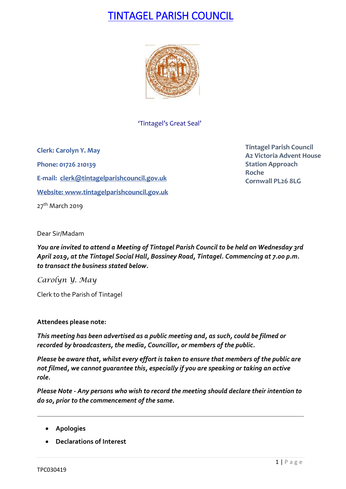# TINTAGEL PARISH COUNCIL



'Tintagel's Great Seal'

**Clerk: Carolyn Y. May Phone: 01726 210139 E-mail: [clerk@tintagelparishcouncil.gov.uk](mailto:clerk@tintagelparishcouncil.gov.uk) Website: [www.tintagelparishcouncil.gov.uk](http://www.tintagelparishcouncil.gov.uk/)**  $27<sup>th</sup>$  March 2019

**Tintagel Parish Council A2 Victoria Advent House Station Approach Roche Cornwall PL26 8LG**

Dear Sir/Madam

*You are invited to attend a Meeting of Tintagel Parish Council to be held on Wednesday 3rd April 2019, at the Tintagel Social Hall, Bossiney Road, Tintagel. Commencing at 7.00 p.m. to transact the business stated below.*

*Carolyn Y. May*

Clerk to the Parish of Tintagel

#### **Attendees please note:**

*This meeting has been advertised as a public meeting and, as such, could be filmed or recorded by broadcasters, the media, Councillor, or members of the public.*

*Please be aware that, whilst every effort is taken to ensure that members of the public are not filmed, we cannot guarantee this, especially if you are speaking or taking an active role.*

*Please Note - Any persons who wish to record the meeting should declare their intention to do so, prior to the commencement of the same.*

- **Apologies**
- **Declarations of Interest**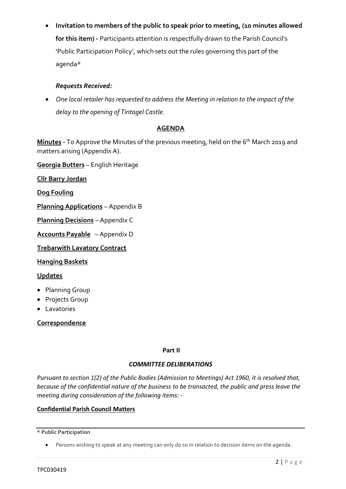• **Invitation to members of the public to speak prior to meeting, (10 minutes allowed for this item) -** Participants attention is respectfully drawn to the Parish Council's 'Public Participation Policy', which sets out the rules governing this part of the agenda\*

### *Requests Received:*

• *One local retailer has requested to address the Meeting in relation to the impact of the delay to the opening of Tintagel Castle.*

#### **AGENDA**

**Minutes -** To Approve the Minutes of the previous meeting, held on the 6 th March 2019 and matters arising (Appendix A).

**Georgia Butters** – English Heritage

**Cllr Barry Jordan**

**Dog Fouling**

**Planning Applications** – Appendix B

**Planning Decisions** – Appendix C

**Accounts Payable** – Appendix D

**Trebarwith Lavatory Contract**

**Hanging Baskets**

#### **Updates**

- Planning Group
- Projects Group
- Lavatories

**Correspondence**

#### **Part II**

#### *COMMITTEE DELIBERATIONS*

*Pursuant to section 1(2) of the Public Bodies (Admission to Meetings) Act 1960, it is resolved that, because of the confidential nature of the business to be transacted, the public and press leave the meeting during consideration of the following items: -*

#### **Confidential Parish Council Matters**

**\* Public Participation**

<sup>•</sup> Persons wishing to speak at any meeting can only do so in relation to decision items on the agenda.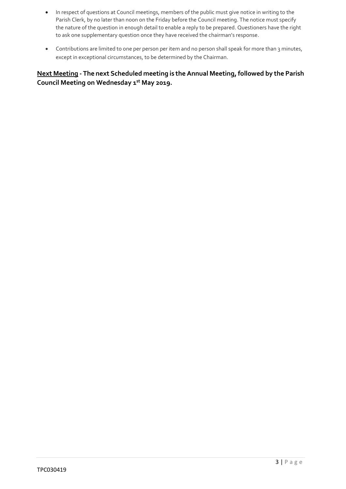- In respect of questions at Council meetings, members of the public must give notice in writing to the Parish Clerk, by no later than noon on the Friday before the Council meeting. The notice must specify the nature of the question in enough detail to enable a reply to be prepared. Questioners have the right to ask one supplementary question once they have received the chairman's response.
- Contributions are limited to one per person per item and no person shall speak for more than 3 minutes, except in exceptional circumstances, to be determined by the Chairman.

**Next Meeting - The next Scheduled meeting is the Annual Meeting, followed by the Parish Council Meeting on Wednesday 1 st May 2019.**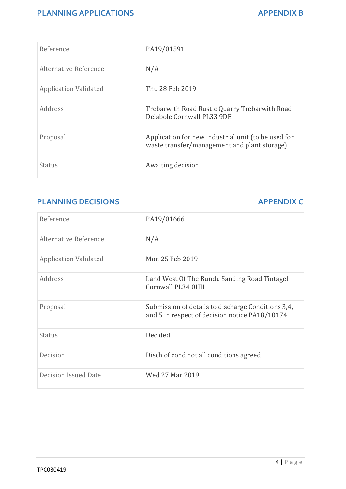## **PLANNING APPLICATIONS** APPENDIX B

| Reference                    | PA19/01591                                                                                          |
|------------------------------|-----------------------------------------------------------------------------------------------------|
| Alternative Reference        | N/A                                                                                                 |
| <b>Application Validated</b> | Thu 28 Feb 2019                                                                                     |
| Address                      | Trebarwith Road Rustic Quarry Trebarwith Road<br>Delabole Cornwall PL33 9DE                         |
| Proposal                     | Application for new industrial unit (to be used for<br>waste transfer/management and plant storage) |
| Status                       | Awaiting decision                                                                                   |

# **PLANNING DECISIONS APPENDIX C**

| Reference                    | PA19/01666                                                                                           |
|------------------------------|------------------------------------------------------------------------------------------------------|
| Alternative Reference        | N/A                                                                                                  |
| <b>Application Validated</b> | Mon 25 Feb 2019                                                                                      |
| Address                      | Land West Of The Bundu Sanding Road Tintagel<br>Cornwall PL34 0HH                                    |
| Proposal                     | Submission of details to discharge Conditions 3,4,<br>and 5 in respect of decision notice PA18/10174 |
| Status                       | Decided                                                                                              |
| Decision                     | Disch of cond not all conditions agreed                                                              |
| Decision Issued Date         | Wed 27 Mar 2019                                                                                      |